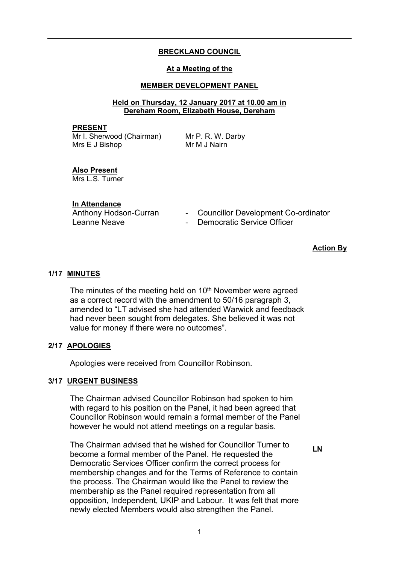# **BRECKLAND COUNCIL**

### **At a Meeting of the**

## **MEMBER DEVELOPMENT PANEL**

### **Held on Thursday, 12 January 2017 at 10.00 am in Dereham Room, Elizabeth House, Dereham**

#### **PRESENT**

Mr I. Sherwood (Chairman) Mrs E J Bishop

Mr P. R. W. Darby Mr M J Nairn

#### **Also Present** Mrs L.S. Turner

**In Attendance**

Leanne Neave **- Acceleration** - Democratic Service Officer

- Anthony Hodson-Curran Councillor Development Co-ordinator
	-

|                                                                                                                                                                                                                                                                                                                                                                                                                                                                                                               | <b>Action By</b> |
|---------------------------------------------------------------------------------------------------------------------------------------------------------------------------------------------------------------------------------------------------------------------------------------------------------------------------------------------------------------------------------------------------------------------------------------------------------------------------------------------------------------|------------------|
| 1/17 MINUTES                                                                                                                                                                                                                                                                                                                                                                                                                                                                                                  |                  |
| The minutes of the meeting held on 10 <sup>th</sup> November were agreed<br>as a correct record with the amendment to 50/16 paragraph 3,<br>amended to "LT advised she had attended Warwick and feedback<br>had never been sought from delegates. She believed it was not<br>value for money if there were no outcomes".                                                                                                                                                                                      |                  |
| 2/17 APOLOGIES                                                                                                                                                                                                                                                                                                                                                                                                                                                                                                |                  |
| Apologies were received from Councillor Robinson.                                                                                                                                                                                                                                                                                                                                                                                                                                                             |                  |
| 3/17 URGENT BUSINESS                                                                                                                                                                                                                                                                                                                                                                                                                                                                                          |                  |
| The Chairman advised Councillor Robinson had spoken to him<br>with regard to his position on the Panel, it had been agreed that<br>Councillor Robinson would remain a formal member of the Panel<br>however he would not attend meetings on a regular basis.                                                                                                                                                                                                                                                  |                  |
| The Chairman advised that he wished for Councillor Turner to<br>become a formal member of the Panel. He requested the<br>Democratic Services Officer confirm the correct process for<br>membership changes and for the Terms of Reference to contain<br>the process. The Chairman would like the Panel to review the<br>membership as the Panel required representation from all<br>opposition, Independent, UKIP and Labour. It was felt that more<br>newly elected Members would also strengthen the Panel. | LN               |
|                                                                                                                                                                                                                                                                                                                                                                                                                                                                                                               |                  |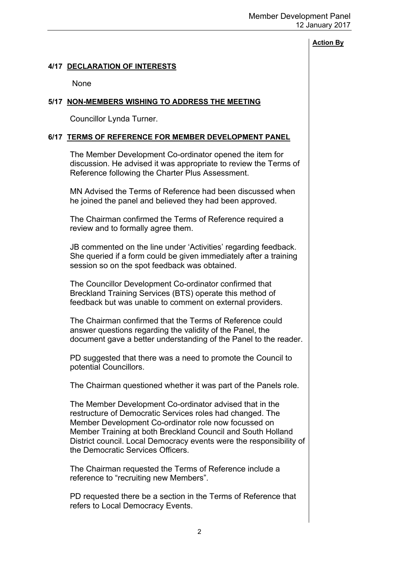### **Action By**

### **4/17 DECLARATION OF INTERESTS**

None

### **5/17 NON-MEMBERS WISHING TO ADDRESS THE MEETING**

Councillor Lynda Turner.

### **6/17 TERMS OF REFERENCE FOR MEMBER DEVELOPMENT PANEL**

The Member Development Co-ordinator opened the item for discussion. He advised it was appropriate to review the Terms of Reference following the Charter Plus Assessment.

MN Advised the Terms of Reference had been discussed when he joined the panel and believed they had been approved.

The Chairman confirmed the Terms of Reference required a review and to formally agree them.

JB commented on the line under 'Activities' regarding feedback. She queried if a form could be given immediately after a training session so on the spot feedback was obtained.

The Councillor Development Co-ordinator confirmed that Breckland Training Services (BTS) operate this method of feedback but was unable to comment on external providers.

The Chairman confirmed that the Terms of Reference could answer questions regarding the validity of the Panel, the document gave a better understanding of the Panel to the reader.

PD suggested that there was a need to promote the Council to potential Councillors.

The Chairman questioned whether it was part of the Panels role.

The Member Development Co-ordinator advised that in the restructure of Democratic Services roles had changed. The Member Development Co-ordinator role now focussed on Member Training at both Breckland Council and South Holland District council. Local Democracy events were the responsibility of the Democratic Services Officers.

The Chairman requested the Terms of Reference include a reference to "recruiting new Members".

PD requested there be a section in the Terms of Reference that refers to Local Democracy Events.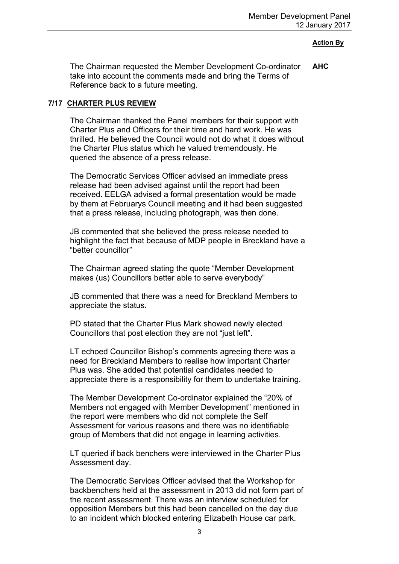|                                                                                                                                                                                                                                                                                                                                      | <b>Action By</b> |
|--------------------------------------------------------------------------------------------------------------------------------------------------------------------------------------------------------------------------------------------------------------------------------------------------------------------------------------|------------------|
| The Chairman requested the Member Development Co-ordinator<br>take into account the comments made and bring the Terms of<br>Reference back to a future meeting.                                                                                                                                                                      | <b>AHC</b>       |
| 7/17 CHARTER PLUS REVIEW                                                                                                                                                                                                                                                                                                             |                  |
| The Chairman thanked the Panel members for their support with<br>Charter Plus and Officers for their time and hard work. He was<br>thrilled. He believed the Council would not do what it does without<br>the Charter Plus status which he valued tremendously. He<br>queried the absence of a press release.                        |                  |
| The Democratic Services Officer advised an immediate press<br>release had been advised against until the report had been<br>received. EELGA advised a formal presentation would be made<br>by them at Februarys Council meeting and it had been suggested<br>that a press release, including photograph, was then done.              |                  |
| JB commented that she believed the press release needed to<br>highlight the fact that because of MDP people in Breckland have a<br>"better councillor"                                                                                                                                                                               |                  |
| The Chairman agreed stating the quote "Member Development"<br>makes (us) Councillors better able to serve everybody"                                                                                                                                                                                                                 |                  |
| JB commented that there was a need for Breckland Members to<br>appreciate the status.                                                                                                                                                                                                                                                |                  |
| PD stated that the Charter Plus Mark showed newly elected<br>Councillors that post election they are not "just left".                                                                                                                                                                                                                |                  |
| LT echoed Councillor Bishop's comments agreeing there was a<br>need for Breckland Members to realise how important Charter<br>Plus was. She added that potential candidates needed to<br>appreciate there is a responsibility for them to undertake training.                                                                        |                  |
| The Member Development Co-ordinator explained the "20% of<br>Members not engaged with Member Development" mentioned in<br>the report were members who did not complete the Self<br>Assessment for various reasons and there was no identifiable<br>group of Members that did not engage in learning activities.                      |                  |
| LT queried if back benchers were interviewed in the Charter Plus<br>Assessment day.                                                                                                                                                                                                                                                  |                  |
| The Democratic Services Officer advised that the Workshop for<br>backbenchers held at the assessment in 2013 did not form part of<br>the recent assessment. There was an interview scheduled for<br>opposition Members but this had been cancelled on the day due<br>to an incident which blocked entering Elizabeth House car park. |                  |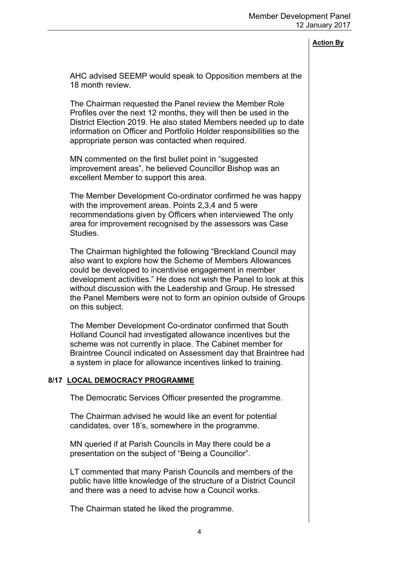### **Action By**

AHC advised SEEMP would speak to Opposition members at the 18 month review.

The Chairman requested the Panel review the Member Role Profiles over the next 12 months, they will then be used in the District Election 2019. He also stated Members needed up to date information on Officer and Portfolio Holder responsibilities so the appropriate person was contacted when required.

MN commented on the first bullet point in "suggested improvement areas", he believed Councillor Bishop was an excellent Member to support this area.

The Member Development Co-ordinator confirmed he was happy with the improvement areas. Points 2,3,4 and 5 were recommendations given by Officers when interviewed The only area for improvement recognised by the assessors was Case Studies.

The Chairman highlighted the following "Breckland Council may also want to explore how the Scheme of Members Allowances could be developed to incentivise engagement in member development activities." He does not wish the Panel to look at this without discussion with the Leadership and Group. He stressed the Panel Members were not to form an opinion outside of Groups on this subject.

The Member Development Co-ordinator confirmed that South Holland Council had investigated allowance incentives but the scheme was not currently in place. The Cabinet member for Braintree Council indicated on Assessment day that Braintree had a system in place for allowance incentives linked to training.

### **8/17 LOCAL DEMOCRACY PROGRAMME**

The Democratic Services Officer presented the programme.

The Chairman advised he would like an event for potential candidates, over 18's, somewhere in the programme.

MN queried if at Parish Councils in May there could be a presentation on the subject of "Being a Councillor".

LT commented that many Parish Councils and members of the public have little knowledge of the structure of a District Council and there was a need to advise how a Council works.

The Chairman stated he liked the programme.